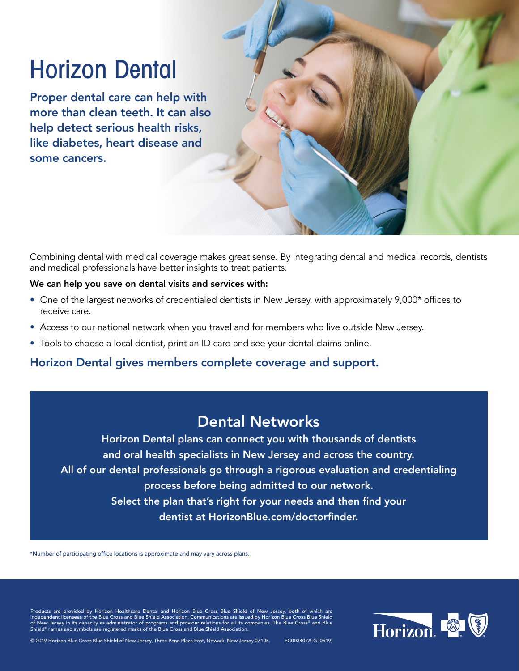# Horizon Dental

Proper dental care can help with more than clean teeth. It can also help detect serious health risks, like diabetes, heart disease and some cancers.

Combining dental with medical coverage makes great sense. By integrating dental and medical records, dentists and medical professionals have better insights to treat patients.

### We can help you save on dental visits and services with:

- One of the largest networks of credentialed dentists in New Jersey, with approximately 9,000\* offices to receive care.
- Access to our national network when you travel and for members who live outside New Jersey.
- Tools to choose a local dentist, print an ID card and see your dental claims online.

### Horizon Dental gives members complete coverage and support.

## Dental Networks

Horizon Dental plans can connect you with thousands of dentists and oral health specialists in New Jersey and across the country. All of our dental professionals go through a rigorous evaluation and credentialing process before being admitted to our network. Select the plan that's right for your needs and then find your dentist at [HorizonBlue.com/doctorfinder](https://doctorfinder.horizonblue.com/).

\*Number of participating office locations is approximate and may vary across plans.

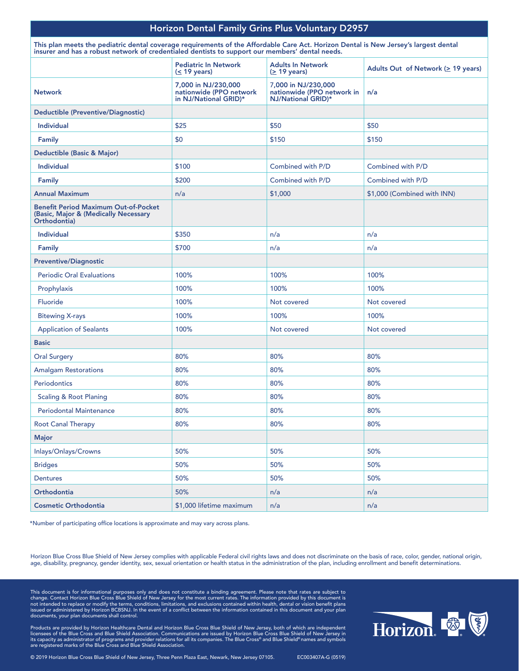### Horizon Dental Family Grins Plus Voluntary D2957

This plan meets the pediatric dental coverage requirements of the Affordable Care Act. Horizon Dental is New Jersey's largest dental insurer and has a robust network of credentialed dentists to support our members' dental needs.

|                                                                                                     | <b>Pediatric In Network</b><br>$(< 19$ years)                           | <b>Adults In Network</b><br>$( \geq 19 \text{ years})$                  | Adults Out of Network ( $\geq$ 19 years) |
|-----------------------------------------------------------------------------------------------------|-------------------------------------------------------------------------|-------------------------------------------------------------------------|------------------------------------------|
| <b>Network</b>                                                                                      | 7,000 in NJ/230,000<br>nationwide (PPO network<br>in NJ/National GRID)* | 7,000 in NJ/230,000<br>nationwide (PPO network in<br>NJ/National GRID)* | n/a                                      |
| <b>Deductible (Preventive/Diagnostic)</b>                                                           |                                                                         |                                                                         |                                          |
| <b>Individual</b>                                                                                   | \$25                                                                    | \$50                                                                    | \$50                                     |
| <b>Family</b>                                                                                       | \$0                                                                     | \$150                                                                   | \$150                                    |
| Deductible (Basic & Major)                                                                          |                                                                         |                                                                         |                                          |
| <b>Individual</b>                                                                                   | \$100                                                                   | Combined with P/D                                                       | Combined with P/D                        |
| Family                                                                                              | \$200                                                                   | Combined with P/D                                                       | Combined with P/D                        |
| <b>Annual Maximum</b>                                                                               | n/a                                                                     | \$1,000                                                                 | \$1,000 (Combined with INN)              |
| <b>Benefit Period Maximum Out-of-Pocket</b><br>(Basic, Major & (Medically Necessary<br>Orthodontia) |                                                                         |                                                                         |                                          |
| <b>Individual</b>                                                                                   | \$350                                                                   | n/a                                                                     | n/a                                      |
| Family                                                                                              | \$700                                                                   | n/a                                                                     | n/a                                      |
| <b>Preventive/Diagnostic</b>                                                                        |                                                                         |                                                                         |                                          |
| <b>Periodic Oral Evaluations</b>                                                                    | 100%                                                                    | 100%                                                                    | 100%                                     |
| Prophylaxis                                                                                         | 100%                                                                    | 100%                                                                    | 100%                                     |
| Fluoride                                                                                            | 100%                                                                    | Not covered                                                             | Not covered                              |
| <b>Bitewing X-rays</b>                                                                              | 100%                                                                    | 100%                                                                    | 100%                                     |
| <b>Application of Sealants</b>                                                                      | 100%                                                                    | Not covered                                                             | Not covered                              |
| <b>Basic</b>                                                                                        |                                                                         |                                                                         |                                          |
| <b>Oral Surgery</b>                                                                                 | 80%                                                                     | 80%                                                                     | 80%                                      |
| <b>Amalgam Restorations</b>                                                                         | 80%                                                                     | 80%                                                                     | 80%                                      |
| <b>Periodontics</b>                                                                                 | 80%                                                                     | 80%                                                                     | 80%                                      |
| <b>Scaling &amp; Root Planing</b>                                                                   | 80%                                                                     | 80%                                                                     | 80%                                      |
| <b>Periodontal Maintenance</b>                                                                      | 80%                                                                     | 80%                                                                     | 80%                                      |
| <b>Root Canal Therapy</b>                                                                           | 80%                                                                     | 80%                                                                     | 80%                                      |
| Major                                                                                               |                                                                         |                                                                         |                                          |
| Inlays/Onlays/Crowns                                                                                | 50%                                                                     | 50%                                                                     | 50%                                      |
| <b>Bridges</b>                                                                                      | 50%                                                                     | 50%                                                                     | 50%                                      |
| Dentures                                                                                            | 50%                                                                     | 50%                                                                     | 50%                                      |
| Orthodontia                                                                                         | 50%                                                                     | n/a                                                                     | n/a                                      |
| <b>Cosmetic Orthodontia</b>                                                                         | \$1,000 lifetime maximum                                                | n/a                                                                     | n/a                                      |

\*Number of participating office locations is approximate and may vary across plans.

Horizon Blue Cross Blue Shield of New Jersey complies with applicable Federal civil rights laws and does not discriminate on the basis of race, color, gender, national origin, age, disability, pregnancy, gender identity, sex, sexual orientation or health status in the administration of the plan, including enrollment and benefit determinations.

This document is for informational purposes only and does not constitute a binding agreement. Please note that rates are subject to<br>change. Contact Horizon Blue Cross Blue Shield of New Jersey for the most current rates. T issued or administered by Horizon BCBSNJ. In the event of a conflict between the information contained in this document and your plan documents, your plan documents shall control.



Products are provided by Horizon Healthcare Dental and Horizon Blue Cross Blue Shield of New Jersey, both of which are independent<br>licensees of the Blue Cross and Blue Shield Association. Communications are issued by Horiz are registered marks of the Blue Cross and Blue Shield Association.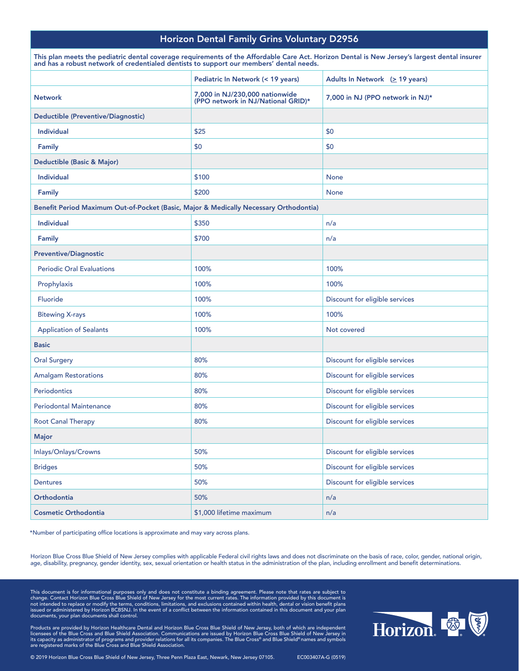### Horizon Dental Family Grins Voluntary D2956

| and has a robust network of credentialed dentists to support our members' dental needs. |                                                                      | This plan meets the pediatric dental coverage requirements of the Affordable Care Act. Horizon Dental is New Jersey's largest dental insurer |  |
|-----------------------------------------------------------------------------------------|----------------------------------------------------------------------|----------------------------------------------------------------------------------------------------------------------------------------------|--|
|                                                                                         | Pediatric In Network (< 19 years)                                    | Adults In Network $( \geq 19 \text{ years})$                                                                                                 |  |
| <b>Network</b>                                                                          | 7,000 in NJ/230,000 nationwide<br>(PPO network in NJ/National GRID)* | 7,000 in NJ (PPO network in NJ)*                                                                                                             |  |
| Deductible (Preventive/Diagnostic)                                                      |                                                                      |                                                                                                                                              |  |
| <b>Individual</b>                                                                       | \$25                                                                 | \$0                                                                                                                                          |  |
| Family                                                                                  | \$0                                                                  | \$0                                                                                                                                          |  |
| Deductible (Basic & Major)                                                              |                                                                      |                                                                                                                                              |  |
| <b>Individual</b>                                                                       | \$100                                                                | None                                                                                                                                         |  |
| <b>Family</b>                                                                           | \$200                                                                | None                                                                                                                                         |  |
| Benefit Period Maximum Out-of-Pocket (Basic, Major & Medically Necessary Orthodontia)   |                                                                      |                                                                                                                                              |  |
| <b>Individual</b>                                                                       | \$350                                                                | n/a                                                                                                                                          |  |
| Family                                                                                  | \$700                                                                | n/a                                                                                                                                          |  |
| <b>Preventive/Diagnostic</b>                                                            |                                                                      |                                                                                                                                              |  |
| <b>Periodic Oral Evaluations</b>                                                        | 100%                                                                 | 100%                                                                                                                                         |  |
| Prophylaxis                                                                             | 100%                                                                 | 100%                                                                                                                                         |  |
| Fluoride                                                                                | 100%                                                                 | Discount for eligible services                                                                                                               |  |
| <b>Bitewing X-rays</b>                                                                  | 100%                                                                 | 100%                                                                                                                                         |  |
| <b>Application of Sealants</b>                                                          | 100%                                                                 | Not covered                                                                                                                                  |  |
| <b>Basic</b>                                                                            |                                                                      |                                                                                                                                              |  |
| <b>Oral Surgery</b>                                                                     | 80%                                                                  | Discount for eligible services                                                                                                               |  |
| <b>Amalgam Restorations</b>                                                             | 80%                                                                  | Discount for eligible services                                                                                                               |  |
| Periodontics                                                                            | 80%                                                                  | Discount for eligible services                                                                                                               |  |
| <b>Periodontal Maintenance</b>                                                          | 80%                                                                  | Discount for eligible services                                                                                                               |  |
| <b>Root Canal Therapy</b>                                                               | 80%                                                                  | Discount for eligible services                                                                                                               |  |
| Major                                                                                   |                                                                      |                                                                                                                                              |  |
| Inlays/Onlays/Crowns                                                                    | 50%                                                                  | Discount for eligible services                                                                                                               |  |
| <b>Bridges</b>                                                                          | 50%                                                                  | Discount for eligible services                                                                                                               |  |
| <b>Dentures</b>                                                                         | 50%                                                                  | Discount for eligible services                                                                                                               |  |
| Orthodontia                                                                             | 50%                                                                  | n/a                                                                                                                                          |  |
| <b>Cosmetic Orthodontia</b>                                                             | \$1,000 lifetime maximum                                             | n/a                                                                                                                                          |  |

\*Number of participating office locations is approximate and may vary across plans.

Horizon Blue Cross Blue Shield of New Jersey complies with applicable Federal civil rights laws and does not discriminate on the basis of race, color, gender, national origin, age, disability, pregnancy, gender identity, sex, sexual orientation or health status in the administration of the plan, including enrollment and benefit determinations.

This document is for informational purposes only and does not constitute a binding agreement. Please note that rates are subject to<br>change. Contact Horizon Blue Cross Blue Shield of New Jersey for the most current rates. T issued or administered by Horizon BCBSNJ. In the event of a conflict between the information contained in this document and your plan documents, your plan documents shall control.



Products are provided by Horizon Healthcare Dental and Horizon Blue Cross Blue Shield of New Jersey, both of which are independent<br>licensees of the Blue Cross and Blue Shield Association. Communications are issued by Horiz

© 2019 Horizon Blue Cross Blue Shield of New Jersey, Three Penn Plaza East, Newark, New Jersey 07105. EC003407A-G (0519)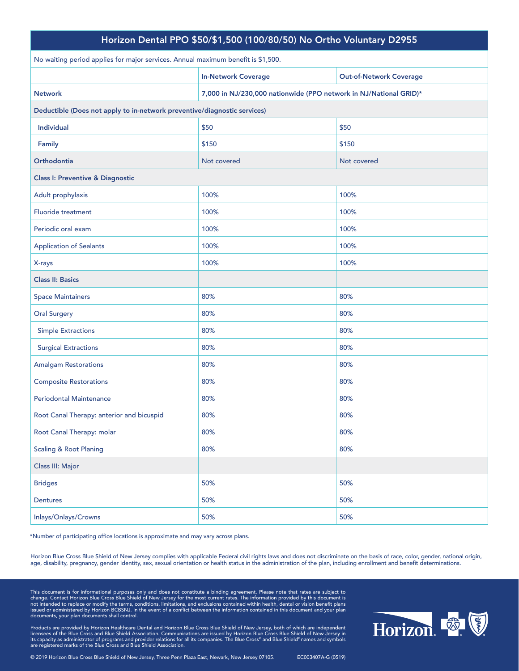| Horizon Dental PPO \$50/\$1,500 (100/80/50) No Ortho Voluntary D2955             |                                                                   |                                |  |
|----------------------------------------------------------------------------------|-------------------------------------------------------------------|--------------------------------|--|
| No waiting period applies for major services. Annual maximum benefit is \$1,500. |                                                                   |                                |  |
|                                                                                  | <b>In-Network Coverage</b>                                        | <b>Out-of-Network Coverage</b> |  |
| <b>Network</b>                                                                   | 7,000 in NJ/230,000 nationwide (PPO network in NJ/National GRID)* |                                |  |
| Deductible (Does not apply to in-network preventive/diagnostic services)         |                                                                   |                                |  |
| <b>Individual</b>                                                                | \$50                                                              | \$50                           |  |
| Family                                                                           | \$150                                                             | \$150                          |  |
| <b>Orthodontia</b>                                                               | Not covered                                                       | Not covered                    |  |
| <b>Class I: Preventive &amp; Diagnostic</b>                                      |                                                                   |                                |  |
| Adult prophylaxis                                                                | 100%                                                              | 100%                           |  |
| <b>Fluoride treatment</b>                                                        | 100%                                                              | 100%                           |  |
| Periodic oral exam                                                               | 100%                                                              | 100%                           |  |
| <b>Application of Sealants</b>                                                   | 100%                                                              | 100%                           |  |
| X-rays                                                                           | 100%                                                              | 100%                           |  |
| <b>Class II: Basics</b>                                                          |                                                                   |                                |  |
| <b>Space Maintainers</b>                                                         | 80%                                                               | 80%                            |  |
| <b>Oral Surgery</b>                                                              | 80%                                                               | 80%                            |  |
| <b>Simple Extractions</b>                                                        | 80%                                                               | 80%                            |  |
| <b>Surgical Extractions</b>                                                      | 80%                                                               | 80%                            |  |
| <b>Amalgam Restorations</b>                                                      | 80%                                                               | 80%                            |  |
| <b>Composite Restorations</b>                                                    | 80%                                                               | 80%                            |  |
| <b>Periodontal Maintenance</b>                                                   | 80%                                                               | 80%                            |  |
| Root Canal Therapy: anterior and bicuspid                                        | 80%                                                               | 80%                            |  |
| Root Canal Therapy: molar                                                        | 80%                                                               | 80%                            |  |
| <b>Scaling &amp; Root Planing</b>                                                | 80%                                                               | 80%                            |  |
| Class III: Major                                                                 |                                                                   |                                |  |
| <b>Bridges</b>                                                                   | 50%                                                               | 50%                            |  |
| Dentures                                                                         | 50%                                                               | 50%                            |  |
| Inlays/Onlays/Crowns                                                             | 50%                                                               | 50%                            |  |

Horizon Blue Cross Blue Shield of New Jersey complies with applicable Federal civil rights laws and does not discriminate on the basis of race, color, gender, national origin, age, disability, pregnancy, gender identity, sex, sexual orientation or health status in the administration of the plan, including enrollment and benefit determinations.

This document is for informational purposes only and does not constitute a binding agreement. Please note that rates are subject to<br>change. Contact Horizon Blue Cross Blue Shield of New Jersey for the most current rates. T issued or administered by Horizon BCBSNJ. In the event of a conflict between the information contained in this document and your plan documents, your plan documents shall control.

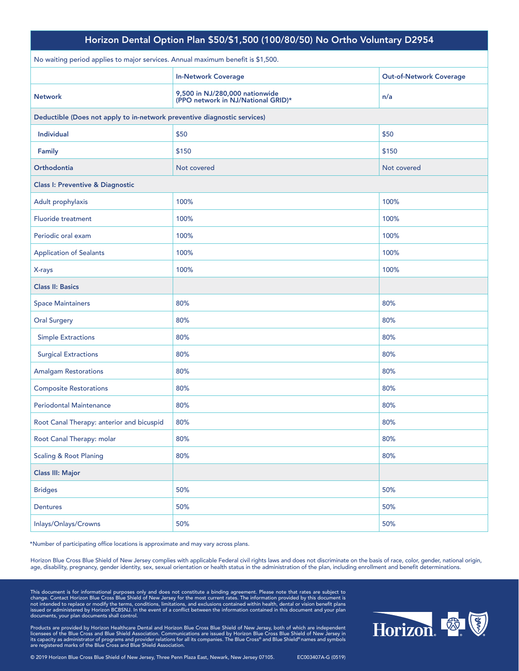| Horizon Dental Option Plan \$50/\$1,500 (100/80/50) No Ortho Voluntary D2954    |                                                                      |                                |
|---------------------------------------------------------------------------------|----------------------------------------------------------------------|--------------------------------|
| No waiting period applies to major services. Annual maximum benefit is \$1,500. |                                                                      |                                |
|                                                                                 | <b>In-Network Coverage</b>                                           | <b>Out-of-Network Coverage</b> |
| <b>Network</b>                                                                  | 9,500 in NJ/280,000 nationwide<br>(PPO network in NJ/National GRID)* | n/a                            |
| Deductible (Does not apply to in-network preventive diagnostic services)        |                                                                      |                                |
| <b>Individual</b>                                                               | \$50                                                                 | \$50                           |
| Family                                                                          | \$150                                                                | \$150                          |
| Orthodontia                                                                     | Not covered                                                          | Not covered                    |
| <b>Class I: Preventive &amp; Diagnostic</b>                                     |                                                                      |                                |
| Adult prophylaxis                                                               | 100%                                                                 | 100%                           |
| <b>Fluoride treatment</b>                                                       | 100%                                                                 | 100%                           |
| Periodic oral exam                                                              | 100%                                                                 | 100%                           |
| <b>Application of Sealants</b>                                                  | 100%                                                                 | 100%                           |
| X-rays                                                                          | 100%                                                                 | 100%                           |
| <b>Class II: Basics</b>                                                         |                                                                      |                                |
| <b>Space Maintainers</b>                                                        | 80%                                                                  | 80%                            |
| <b>Oral Surgery</b>                                                             | 80%                                                                  | 80%                            |
| <b>Simple Extractions</b>                                                       | 80%                                                                  | 80%                            |
| <b>Surgical Extractions</b>                                                     | 80%                                                                  | 80%                            |
| <b>Amalgam Restorations</b>                                                     | 80%                                                                  | 80%                            |
| <b>Composite Restorations</b>                                                   | 80%                                                                  | 80%                            |
| <b>Periodontal Maintenance</b>                                                  | 80%                                                                  | 80%                            |
| Root Canal Therapy: anterior and bicuspid                                       | 80%                                                                  | 80%                            |
| Root Canal Therapy: molar                                                       | 80%                                                                  | 80%                            |
| <b>Scaling &amp; Root Planing</b>                                               | 80%                                                                  | 80%                            |
| Class III: Major                                                                |                                                                      |                                |
| <b>Bridges</b>                                                                  | 50%                                                                  | 50%                            |
| <b>Dentures</b>                                                                 | 50%                                                                  | 50%                            |
| Inlays/Onlays/Crowns                                                            | 50%                                                                  | 50%                            |
|                                                                                 |                                                                      |                                |

Horizon Blue Cross Blue Shield of New Jersey complies with applicable Federal civil rights laws and does not discriminate on the basis of race, color, gender, national origin, age, disability, pregnancy, gender identity, sex, sexual orientation or health status in the administration of the plan, including enrollment and benefit determinations.

This document is for informational purposes only and does not constitute a binding agreement. Please note that rates are subject to<br>change. Contact Horizon Blue Cross Blue Shield of New Jersey for the most current rates. T issued or administered by Horizon BCBSNJ. In the event of a conflict between the information contained in this document and your plan documents, your plan documents shall control.

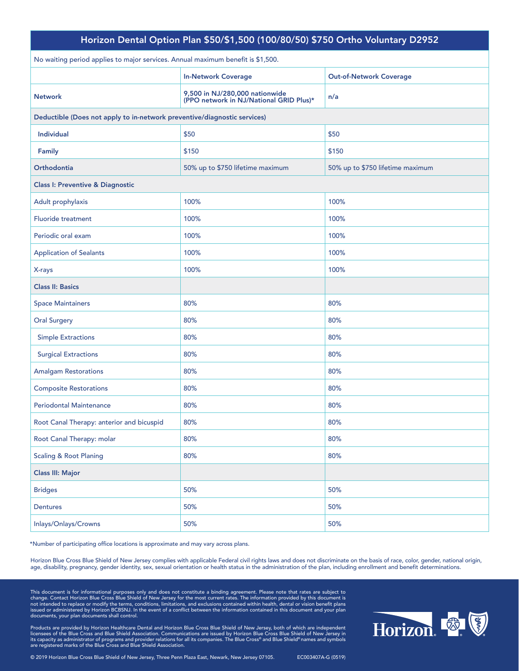| Horizon Dental Option Plan \$50/\$1,500 (100/80/50) \$750 Ortho Voluntary D2952 |                                                                           |                                  |  |  |
|---------------------------------------------------------------------------------|---------------------------------------------------------------------------|----------------------------------|--|--|
| No waiting period applies to major services. Annual maximum benefit is \$1,500. |                                                                           |                                  |  |  |
|                                                                                 | <b>In-Network Coverage</b>                                                | <b>Out-of-Network Coverage</b>   |  |  |
| <b>Network</b>                                                                  | 9,500 in NJ/280,000 nationwide<br>(PPO network in NJ/National GRID Plus)* | n/a                              |  |  |
|                                                                                 | Deductible (Does not apply to in-network preventive/diagnostic services)  |                                  |  |  |
| Individual                                                                      | \$50                                                                      | \$50                             |  |  |
| <b>Family</b>                                                                   | \$150                                                                     | \$150                            |  |  |
| <b>Orthodontia</b>                                                              | 50% up to \$750 lifetime maximum                                          | 50% up to \$750 lifetime maximum |  |  |
| <b>Class I: Preventive &amp; Diagnostic</b>                                     |                                                                           |                                  |  |  |
| Adult prophylaxis                                                               | 100%                                                                      | 100%                             |  |  |
| <b>Fluoride treatment</b>                                                       | 100%                                                                      | 100%                             |  |  |
| Periodic oral exam                                                              | 100%                                                                      | 100%                             |  |  |
| <b>Application of Sealants</b>                                                  | 100%                                                                      | 100%                             |  |  |
| X-rays                                                                          | 100%                                                                      | 100%                             |  |  |
| <b>Class II: Basics</b>                                                         |                                                                           |                                  |  |  |
| <b>Space Maintainers</b>                                                        | 80%                                                                       | 80%                              |  |  |
| <b>Oral Surgery</b>                                                             | 80%                                                                       | 80%                              |  |  |
| <b>Simple Extractions</b>                                                       | 80%                                                                       | 80%                              |  |  |
| <b>Surgical Extractions</b>                                                     | 80%                                                                       | 80%                              |  |  |
| <b>Amalgam Restorations</b>                                                     | 80%                                                                       | 80%                              |  |  |
| <b>Composite Restorations</b>                                                   | 80%                                                                       | 80%                              |  |  |
| <b>Periodontal Maintenance</b>                                                  | 80%                                                                       | 80%                              |  |  |
| Root Canal Therapy: anterior and bicuspid                                       | 80%                                                                       | 80%                              |  |  |
| Root Canal Therapy: molar                                                       | 80%                                                                       | 80%                              |  |  |
| <b>Scaling &amp; Root Planing</b>                                               | 80%                                                                       | 80%                              |  |  |
| <b>Class III: Major</b>                                                         |                                                                           |                                  |  |  |
| <b>Bridges</b>                                                                  | 50%                                                                       | 50%                              |  |  |
| Dentures                                                                        | 50%                                                                       | 50%                              |  |  |
| Inlays/Onlays/Crowns                                                            | 50%                                                                       | 50%                              |  |  |

Horizon Blue Cross Blue Shield of New Jersey complies with applicable Federal civil rights laws and does not discriminate on the basis of race, color, gender, national origin, age, disability, pregnancy, gender identity, sex, sexual orientation or health status in the administration of the plan, including enrollment and benefit determinations.

This document is for informational purposes only and does not constitute a binding agreement. Please note that rates are subject to<br>change. Contact Horizon Blue Cross Blue Shield of New Jersey for the most current rates. T issued or administered by Horizon BCBSNJ. In the event of a conflict between the information contained in this document and your plan documents, your plan documents shall control.